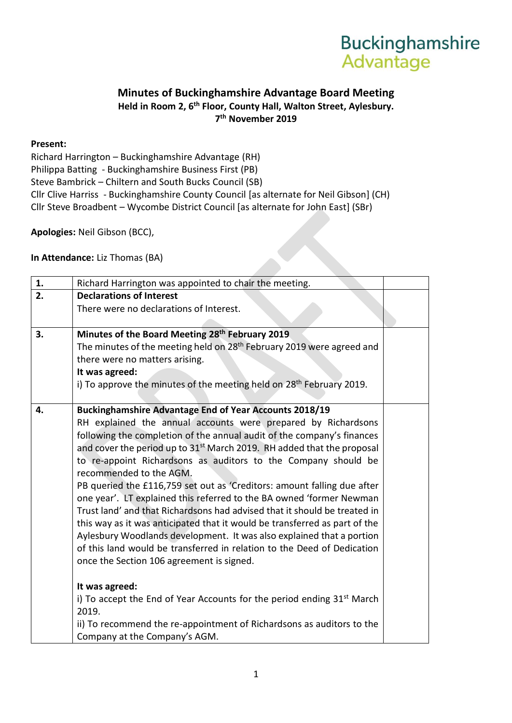## **Buckinghamshire Advantage**

## **Minutes of Buckinghamshire Advantage Board Meeting Held in Room 2, 6th Floor, County Hall, Walton Street, Aylesbury. 7 th November 2019**

## **Present:**

Richard Harrington – Buckinghamshire Advantage (RH) Philippa Batting - Buckinghamshire Business First (PB) Steve Bambrick – Chiltern and South Bucks Council (SB) Cllr Clive Harriss - Buckinghamshire County Council [as alternate for Neil Gibson] (CH) Cllr Steve Broadbent – Wycombe District Council [as alternate for John East] (SBr)

**Apologies:** Neil Gibson (BCC),

**In Attendance:** Liz Thomas (BA)

| 1. | Richard Harrington was appointed to chair the meeting.                             |  |
|----|------------------------------------------------------------------------------------|--|
| 2. | <b>Declarations of Interest</b>                                                    |  |
|    | There were no declarations of Interest.                                            |  |
|    |                                                                                    |  |
| 3. | Minutes of the Board Meeting 28th February 2019                                    |  |
|    | The minutes of the meeting held on 28 <sup>th</sup> February 2019 were agreed and  |  |
|    | there were no matters arising.                                                     |  |
|    | It was agreed:                                                                     |  |
|    | i) To approve the minutes of the meeting held on 28 <sup>th</sup> February 2019.   |  |
|    |                                                                                    |  |
| 4. | <b>Buckinghamshire Advantage End of Year Accounts 2018/19</b>                      |  |
|    | RH explained the annual accounts were prepared by Richardsons                      |  |
|    | following the completion of the annual audit of the company's finances             |  |
|    | and cover the period up to 31 <sup>st</sup> March 2019. RH added that the proposal |  |
|    | to re-appoint Richardsons as auditors to the Company should be                     |  |
|    | recommended to the AGM.                                                            |  |
|    | PB queried the £116,759 set out as 'Creditors: amount falling due after            |  |
|    | one year'. LT explained this referred to the BA owned 'former Newman               |  |
|    | Trust land' and that Richardsons had advised that it should be treated in          |  |
|    | this way as it was anticipated that it would be transferred as part of the         |  |
|    | Aylesbury Woodlands development. It was also explained that a portion              |  |
|    | of this land would be transferred in relation to the Deed of Dedication            |  |
|    | once the Section 106 agreement is signed.                                          |  |
|    |                                                                                    |  |
|    | It was agreed:                                                                     |  |
|    | i) To accept the End of Year Accounts for the period ending $31st$ March           |  |
|    | 2019.                                                                              |  |
|    | ii) To recommend the re-appointment of Richardsons as auditors to the              |  |
|    |                                                                                    |  |
|    | Company at the Company's AGM.                                                      |  |